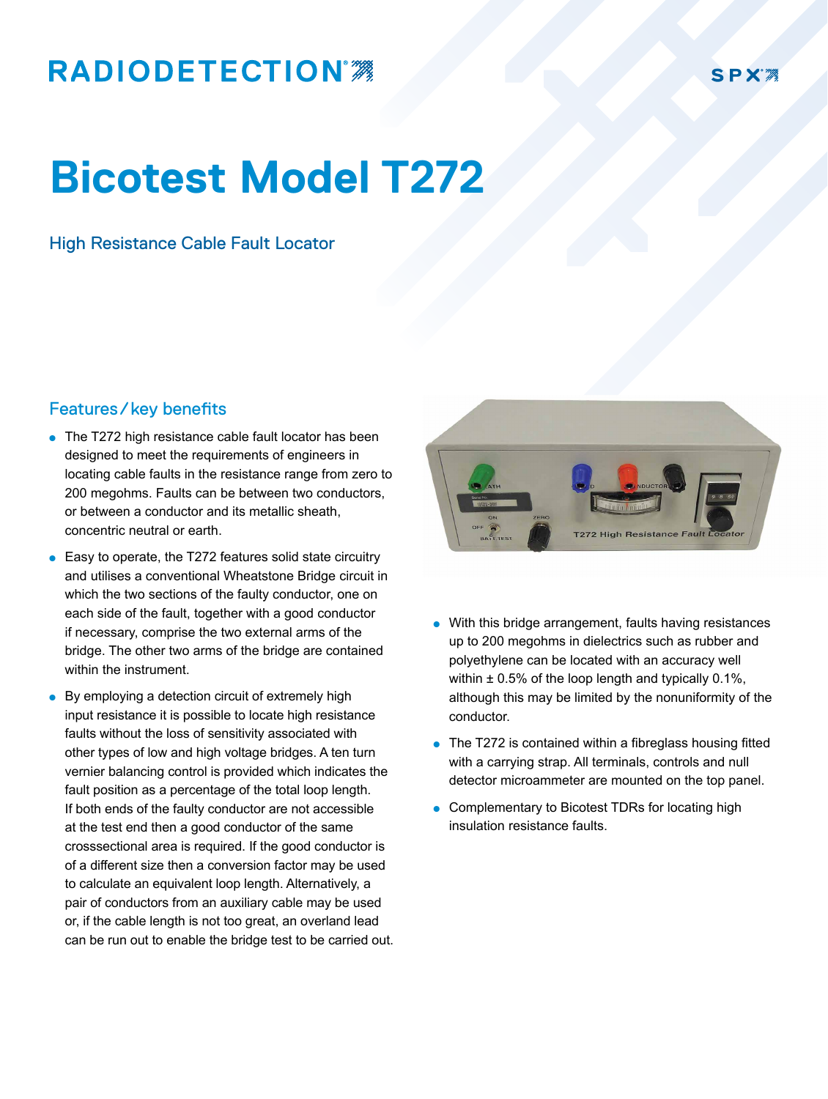## **RADIODETECTION®**

## **Bicotest Model T272**

## High Resistance Cable Fault Locator

## Features/key benefits

- The T272 high resistance cable fault locator has been designed to meet the requirements of engineers in locating cable faults in the resistance range from zero to 200 megohms. Faults can be between two conductors, or between a conductor and its metallic sheath, concentric neutral or earth.
- $\bullet$  Easy to operate, the T272 features solid state circuitry and utilises a conventional Wheatstone Bridge circuit in which the two sections of the faulty conductor, one on each side of the fault, together with a good conductor if necessary, comprise the two external arms of the bridge. The other two arms of the bridge are contained within the instrument.
- $\bullet$  By employing a detection circuit of extremely high input resistance it is possible to locate high resistance faults without the loss of sensitivity associated with other types of low and high voltage bridges. A ten turn vernier balancing control is provided which indicates the fault position as a percentage of the total loop length. If both ends of the faulty conductor are not accessible at the test end then a good conductor of the same crosssectional area is required. If the good conductor is of a different size then a conversion factor may be used to calculate an equivalent loop length. Alternatively, a pair of conductors from an auxiliary cable may be used or, if the cable length is not too great, an overland lead can be run out to enable the bridge test to be carried out.



- With this bridge arrangement, faults having resistances up to 200 megohms in dielectrics such as rubber and polyethylene can be located with an accuracy well within  $\pm$  0.5% of the loop length and typically 0.1%, although this may be limited by the nonuniformity of the conductor.
- $\bullet$  The T272 is contained within a fibreglass housing fitted with a carrying strap. All terminals, controls and null detector microammeter are mounted on the top panel.
- **.** Complementary to Bicotest TDRs for locating high insulation resistance faults.